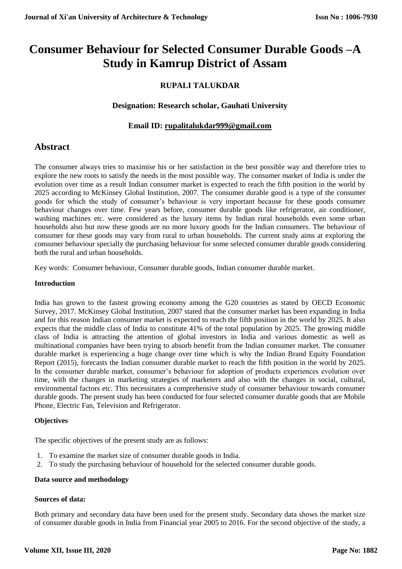# **Consumer Behaviour for Selected Consumer Durable Goods –A Study in Kamrup District of Assam**

# **RUPALI TALUKDAR**

# **Designation: Research scholar, Gauhati University**

# **Email ID: [rupalitalukdar999@gmail.com](mailto:rupalitalukdar999@gmail.com)**

# **Abstract**

The consumer always tries to maximise his or her satisfaction in the best possible way and therefore tries to explore the new roots to satisfy the needs in the most possible way. The consumer market of India is under the evolution over time as a result Indian consumer market is expected to reach the fifth position in the world by 2025 according to McKinsey Global Institution, 2007. The consumer durable good is a type of the consumer goods for which the study of consumer's behaviour is very important because for these goods consumer behaviour changes over time. Few years before, consumer durable goods like refrigerator, air conditioner, washing machines etc. were considered as the luxury items by Indian rural households even some urban households also but now these goods are no more luxury goods for the Indian consumers. The behaviour of consumer for these goods may vary from rural to urban households. The current study aims at exploring the consumer behaviour specially the purchasing behaviour for some selected consumer durable goods considering both the rural and urban households.

Key words: Consumer behaviour, Consumer durable goods, Indian consumer durable market.

# **Introduction**

India has grown to the fastest growing economy among the G20 countries as stated by OECD Economic Survey, 2017. McKinsey Global Institution, 2007 stated that the consumer market has been expanding in India and for this reason Indian consumer market is expected to reach the fifth position in the world by 2025. It also expects that the middle class of India to constitute 41% of the total population by 2025. The growing middle class of India is attracting the attention of global investors in India and various domestic as well as multinational companies have been trying to absorb benefit from the Indian consumer market. The consumer durable market is experiencing a huge change over time which is why the Indian Brand Equity Foundation Report (2015), forecasts the Indian consumer durable market to reach the fifth position in the world by 2025. In the consumer durable market, consumer's behaviour for adoption of products experiences evolution over time, with the changes in marketing strategies of marketers and also with the changes in social, cultural, environmental factors etc. This necessitates a comprehensive study of consumer behaviour towards consumer durable goods. The present study has been conducted for four selected consumer durable goods that are Mobile Phone, Electric Fan, Television and Refrigerator.

# **Objectives**

The specific objectives of the present study are as follows:

- 1. To examine the market size of consumer durable goods in India.
- 2. To study the purchasing behaviour of household for the selected consumer durable goods.

# **Data source and methodology**

# **Sources of data:**

Both primary and secondary data have been used for the present study. Secondary data shows the market size of consumer durable goods in India from Financial year 2005 to 2016. For the second objective of the study, a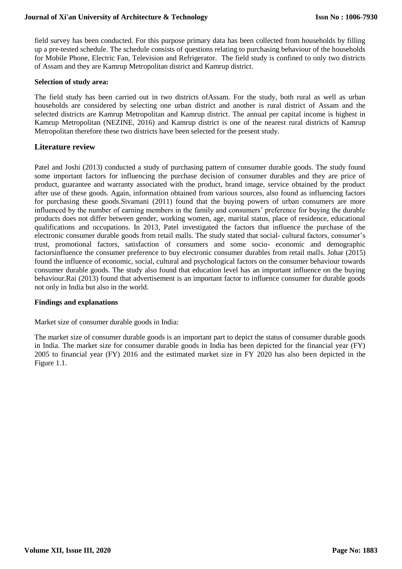field survey has been conducted. For this purpose primary data has been collected from households by filling up a pre-tested schedule. The schedule consists of questions relating to purchasing behaviour of the households for Mobile Phone, Electric Fan, Television and Refrigerator. The field study is confined to only two districts of Assam and they are Kamrup Metropolitan district and Kamrup district.

#### **Selection of study area:**

The field study has been carried out in two districts ofAssam. For the study, both rural as well as urban households are considered by selecting one urban district and another is rural district of Assam and the selected districts are Kamrup Metropolitan and Kamrup district. The annual per capital income is highest in Kamrup Metropolitan (NEZINE, 2016) and Kamrup district is one of the nearest rural districts of Kamrup Metropolitan therefore these two districts have been selected for the present study.

# **Literature review**

Patel and Joshi (2013) conducted a study of purchasing pattern of consumer durable goods. The study found some important factors for influencing the purchase decision of consumer durables and they are price of product, guarantee and warranty associated with the product, brand image, service obtained by the product after use of these goods. Again, information obtained from various sources, also found as influencing factors for purchasing these goods.Sivamani (2011) found that the buying powers of urban consumers are more influenced by the number of earning members in the family and consumers' preference for buying the durable products does not differ between gender, working women, age, marital status, place of residence, educational qualifications and occupations. In 2013, Patel investigated the factors that influence the purchase of the electronic consumer durable goods from retail malls. The study stated that social- cultural factors, consumer's trust, promotional factors, satisfaction of consumers and some socio- economic and demographic factorsinfluence the consumer preference to buy electronic consumer durables from retail malls. Johar (2015) found the influence of economic, social, cultural and psychological factors on the consumer behaviour towards consumer durable goods. The study also found that education level has an important influence on the buying behaviour.Rai (2013) found that advertisement is an important factor to influence consumer for durable goods not only in India but also in the world.

# **Findings and explanations**

Market size of consumer durable goods in India:

The market size of consumer durable goods is an important part to depict the status of consumer durable goods in India. The market size for consumer durable goods in India has been depicted for the financial year (FY) 2005 to financial year (FY) 2016 and the estimated market size in FY 2020 has also been depicted in the Figure 1.1.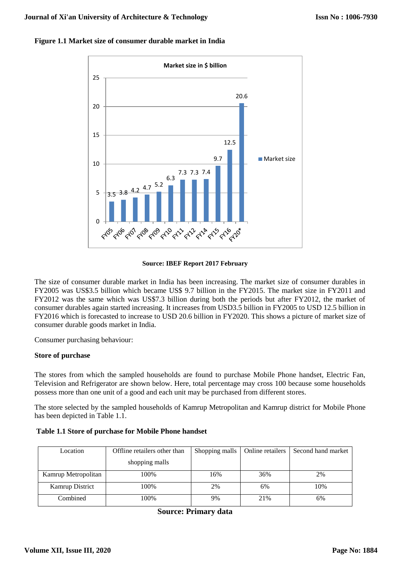

#### **Figure 1.1 Market size of consumer durable market in India**

#### **Source: IBEF Report 2017 February**

The size of consumer durable market in India has been increasing. The market size of consumer durables in FY2005 was US\$3.5 billion which became US\$ 9.7 billion in the FY2015. The market size in FY2011 and FY2012 was the same which was US\$7.3 billion during both the periods but after FY2012, the market of consumer durables again started increasing. It increases from USD3.5 billion in FY2005 to USD 12.5 billion in FY2016 which is forecasted to increase to USD 20.6 billion in FY2020. This shows a picture of market size of consumer durable goods market in India.

Consumer purchasing behaviour:

# **Store of purchase**

The stores from which the sampled households are found to purchase Mobile Phone handset, Electric Fan, Television and Refrigerator are shown below. Here, total percentage may cross 100 because some households possess more than one unit of a good and each unit may be purchased from different stores.

The store selected by the sampled households of Kamrup Metropolitan and Kamrup district for Mobile Phone has been depicted in Table 1.1.

| Location               | Offline retailers other than | Shopping malls | Online retailers | Second hand market |  |
|------------------------|------------------------------|----------------|------------------|--------------------|--|
|                        | shopping malls               |                |                  |                    |  |
| Kamrup Metropolitan    | 100%                         | 16%            | 36%              | 2%                 |  |
| <b>Kamrup District</b> | 100%                         | 2%             | 6%               | 10%                |  |
| Combined               | 100%                         | 9%             | 21%              | 6%                 |  |

#### **Table 1.1 Store of purchase for Mobile Phone handset**

**Source: Primary data**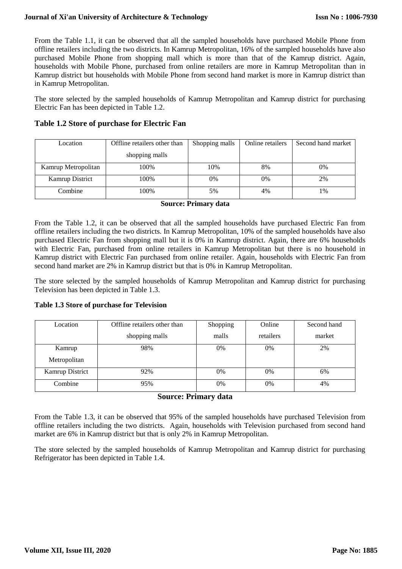# **Journal of Xi'an University of Architecture & Technology**

From the Table 1.1, it can be observed that all the sampled households have purchased Mobile Phone from offline retailers including the two districts. In Kamrup Metropolitan, 16% of the sampled households have also purchased Mobile Phone from shopping mall which is more than that of the Kamrup district. Again, households with Mobile Phone, purchased from online retailers are more in Kamrup Metropolitan than in Kamrup district but households with Mobile Phone from second hand market is more in Kamrup district than in Kamrup Metropolitan.

The store selected by the sampled households of Kamrup Metropolitan and Kamrup district for purchasing Electric Fan has been depicted in Table 1.2.

| Location            | Offline retailers other than | Shopping malls | Online retailers | Second hand market |  |
|---------------------|------------------------------|----------------|------------------|--------------------|--|
|                     | shopping malls               |                |                  |                    |  |
| Kamrup Metropolitan | 100%                         | 10%            | 8%               | 0%                 |  |
| Kamrup District     | 100%                         | 0%             | 0%               | 2%                 |  |
| Combine             | 100%                         | 5%             | 4%               | $\frac{0}{6}$      |  |

# **Table 1.2 Store of purchase for Electric Fan**

#### **Source: Primary data**

From the Table 1.2, it can be observed that all the sampled households have purchased Electric Fan from offline retailers including the two districts. In Kamrup Metropolitan, 10% of the sampled households have also purchased Electric Fan from shopping mall but it is 0% in Kamrup district. Again, there are 6% households with Electric Fan, purchased from online retailers in Kamrup Metropolitan but there is no household in Kamrup district with Electric Fan purchased from online retailer. Again, households with Electric Fan from second hand market are 2% in Kamrup district but that is 0% in Kamrup Metropolitan.

The store selected by the sampled households of Kamrup Metropolitan and Kamrup district for purchasing Television has been depicted in Table 1.3.

# **Table 1.3 Store of purchase for Television**

| Location        | Offline retailers other than | Shopping | Online    | Second hand |
|-----------------|------------------------------|----------|-----------|-------------|
|                 | shopping malls               | malls    | retailers | market      |
| Kamrup          | 98%                          | 0%       | 0%        | 2%          |
| Metropolitan    |                              |          |           |             |
| Kamrup District | 92%                          | 0%       | $0\%$     | 6%          |
| Combine         | 95%                          | 0%       | 0%        | 4%          |

# **Source: Primary data**

From the Table 1.3, it can be observed that 95% of the sampled households have purchased Television from offline retailers including the two districts. Again, households with Television purchased from second hand market are 6% in Kamrup district but that is only 2% in Kamrup Metropolitan.

The store selected by the sampled households of Kamrup Metropolitan and Kamrup district for purchasing Refrigerator has been depicted in Table 1.4.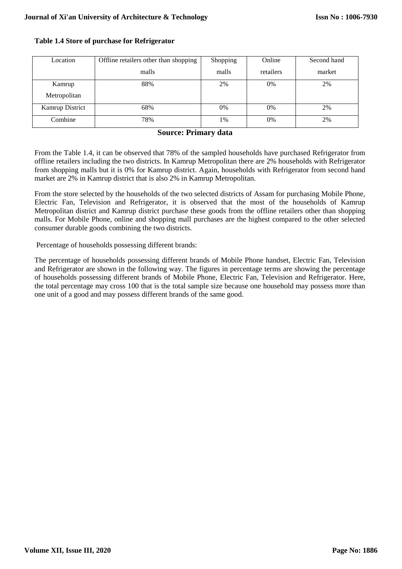| Location               | Offline retailers other than shopping | Shopping | Online    | Second hand |
|------------------------|---------------------------------------|----------|-----------|-------------|
|                        | malls                                 | malls    | retailers | market      |
| Kamrup                 | 88%                                   | 2%       | 0%        | 2%          |
| Metropolitan           |                                       |          |           |             |
| <b>Kamrup District</b> | 68%                                   | 0%       | 0%        | 2%          |
| Combine                | 78%                                   | 1%       | 0%        | 2%          |

#### **Table 1.4 Store of purchase for Refrigerator**

# **Source: Primary data**

From the Table 1.4, it can be observed that 78% of the sampled households have purchased Refrigerator from offline retailers including the two districts. In Kamrup Metropolitan there are 2% households with Refrigerator from shopping malls but it is 0% for Kamrup district. Again, households with Refrigerator from second hand market are 2% in Kamrup district that is also 2% in Kamrup Metropolitan.

From the store selected by the households of the two selected districts of Assam for purchasing Mobile Phone, Electric Fan, Television and Refrigerator, it is observed that the most of the households of Kamrup Metropolitan district and Kamrup district purchase these goods from the offline retailers other than shopping malls. For Mobile Phone, online and shopping mall purchases are the highest compared to the other selected consumer durable goods combining the two districts.

Percentage of households possessing different brands:

The percentage of households possessing different brands of Mobile Phone handset, Electric Fan, Television and Refrigerator are shown in the following way. The figures in percentage terms are showing the percentage of households possessing different brands of Mobile Phone, Electric Fan, Television and Refrigerator. Here, the total percentage may cross 100 that is the total sample size because one household may possess more than one unit of a good and may possess different brands of the same good.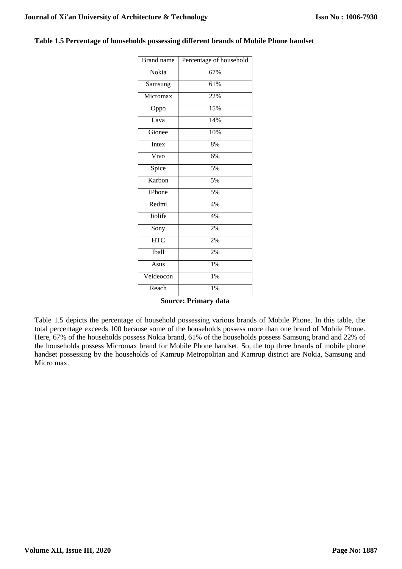| <b>Brand</b> name         | Percentage of household |
|---------------------------|-------------------------|
| Nokia                     | 67%                     |
| Samsung                   | 61%                     |
| Micromax                  | 22%                     |
| Oppo                      | 15%                     |
| $\overline{\text{L}}$ ava | 14%                     |
| Gionee                    | 10%                     |
| Intex                     | 8%                      |
| Vivo                      | 6%                      |
| Spice                     | 5%                      |
| Karbon                    | 5%                      |
| IPhone                    | 5%                      |
| Redmi                     | 4%                      |
| Jiolife                   | 4%                      |
| Sony                      | 2%                      |
| <b>HTC</b>                | 2%                      |
| Iball                     | 2%                      |
| Asus                      | $1\%$                   |
| Veideocon                 | 1%                      |
| Reach                     | $1\%$                   |

#### **Table 1.5 Percentage of households possessing different brands of Mobile Phone handset**

# **Source: Primary data**

Table 1.5 depicts the percentage of household possessing various brands of Mobile Phone. In this table, the total percentage exceeds 100 because some of the households possess more than one brand of Mobile Phone. Here, 67% of the households possess Nokia brand, 61% of the households possess Samsung brand and 22% of the households possess Micromax brand for Mobile Phone handset. So, the top three brands of mobile phone handset possessing by the households of Kamrup Metropolitan and Kamrup district are Nokia, Samsung and Micro max.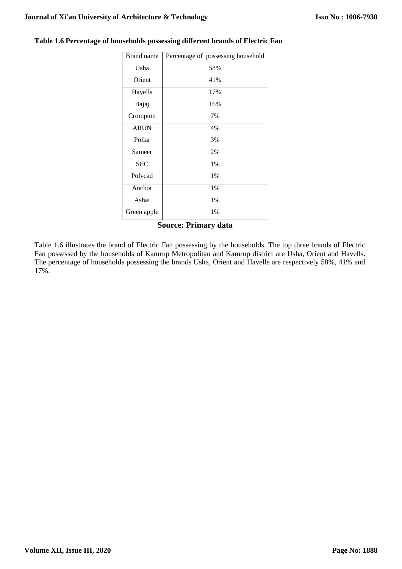| <b>Brand</b> name | Percentage of possessing household |
|-------------------|------------------------------------|
| Usha              | 58%                                |
| Orient            | 41%                                |
| Havells           | 17%                                |
| Bajaj             | 16%                                |
| Crompton          | 7%                                 |
| <b>ARUN</b>       | 4%                                 |
| Pollar            | 3%                                 |
| Sameer            | 2%                                 |
| <b>SEC</b>        | 1%                                 |
| Polycad           | 1%                                 |
| Anchor            | 1%                                 |
| Ashai             | $1\%$                              |
| Green apple       | 1%                                 |
|                   | <b>Source: Primary data</b>        |

# **Table 1.6 Percentage of households possessing different brands of Electric Fan**

Table 1.6 illustrates the brand of Electric Fan possessing by the households. The top three brands of Electric Fan possessed by the households of Kamrup Metropolitan and Kamrup district are Usha, Orient and Havells. The percentage of households possessing the brands Usha, Orient and Havells are respectively 58%, 41% and 17%.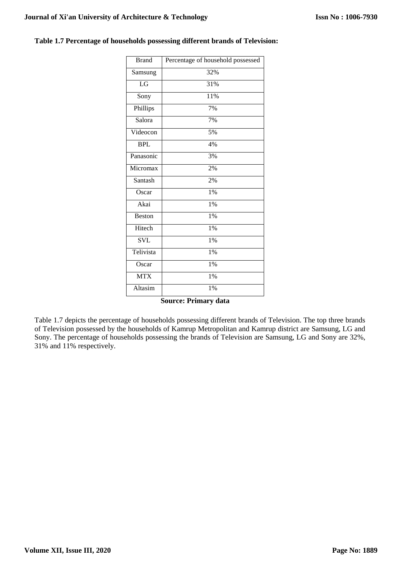| <b>Brand</b>     | Percentage of household possessed |
|------------------|-----------------------------------|
| Samsung          | 32%                               |
| LG               | 31%                               |
| Sony             | 11%                               |
| Phillips         | 7%                                |
| Salora           | 7%                                |
| Videocon         | 5%                                |
| $\overline{BPL}$ | 4%                                |
| Panasonic        | 3%                                |
| Micromax         | 2%                                |
| Santash          | 2%                                |
| Oscar            | $1\%$                             |
| Akai             | 1%                                |
| Beston           | 1%                                |
| Hitech           | 1%                                |
| <b>SVL</b>       | 1%                                |
| Telivista        | 1%                                |
| Oscar            | $1\%$                             |
| <b>MTX</b>       | 1%                                |
| Altasim          | 1%                                |

### **Table 1.7 Percentage of households possessing different brands of Television:**

# **Source: Primary data**

Table 1.7 depicts the percentage of households possessing different brands of Television. The top three brands of Television possessed by the households of Kamrup Metropolitan and Kamrup district are Samsung, LG and Sony. The percentage of households possessing the brands of Television are Samsung, LG and Sony are 32%, 31% and 11% respectively.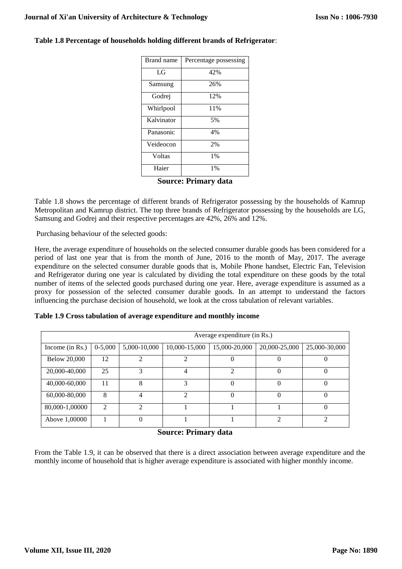| Brand name | Percentage possessing |
|------------|-----------------------|
| LG         | 42%                   |
| Samsung    | 26%                   |
| Godrej     | 12%                   |
| Whirlpool  | 11%                   |
| Kalvinator | 5%                    |
| Panasonic  | 4%                    |
| Veideocon  | 2%                    |
| Voltas     | 1%                    |
| Haier      | 1%                    |

# **Table 1.8 Percentage of households holding different brands of Refrigerator**:

# **Source: Primary data**

Table 1.8 shows the percentage of different brands of Refrigerator possessing by the households of Kamrup Metropolitan and Kamrup district. The top three brands of Refrigerator possessing by the households are LG, Samsung and Godrej and their respective percentages are 42%, 26% and 12%.

Purchasing behaviour of the selected goods:

Here, the average expenditure of households on the selected consumer durable goods has been considered for a period of last one year that is from the month of June, 2016 to the month of May, 2017. The average expenditure on the selected consumer durable goods that is, Mobile Phone handset, Electric Fan, Television and Refrigerator during one year is calculated by dividing the total expenditure on these goods by the total number of items of the selected goods purchased during one year. Here, average expenditure is assumed as a proxy for possession of the selected consumer durable goods. In an attempt to understand the factors influencing the purchase decision of household, we look at the cross tabulation of relevant variables.

|  |  | Table 1.9 Cross tabulation of average expenditure and monthly income |  |  |
|--|--|----------------------------------------------------------------------|--|--|
|  |  |                                                                      |  |  |

|                     | Average expenditure (in Rs.) |                |               |               |               |               |  |
|---------------------|------------------------------|----------------|---------------|---------------|---------------|---------------|--|
| Income (in Rs.)     | $0-5,000$                    | 5,000-10,000   | 10,000-15,000 | 15,000-20,000 | 20,000-25,000 | 25,000-30,000 |  |
| <b>Below 20,000</b> | 12                           | $\mathfrak{D}$ | ◠             |               |               |               |  |
| 20,000-40,000       | 25                           | 3              |               | っ             | $\Omega$      |               |  |
| 40,000-60,000       | 11                           | 8              |               |               |               |               |  |
| 60,000-80,000       | 8                            | 4              |               |               |               |               |  |
| 80,000-1,00000      | $\mathcal{D}_{\mathcal{L}}$  | ↑              |               |               |               |               |  |
| Above 1,00000       |                              | 0              |               |               | $\bigcirc$    | ◠             |  |

# **Source: Primary data**

From the Table 1.9, it can be observed that there is a direct association between average expenditure and the monthly income of household that is higher average expenditure is associated with higher monthly income.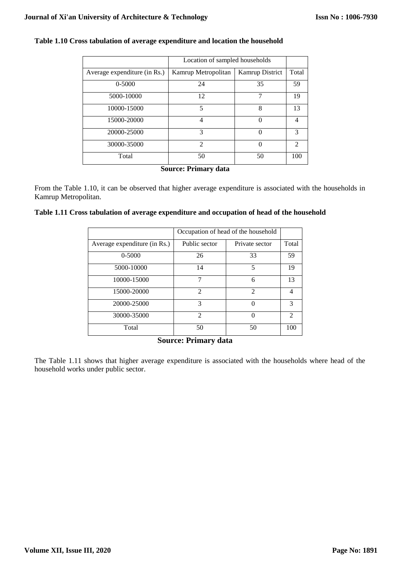|                              | Location of sampled households |                        |                |
|------------------------------|--------------------------------|------------------------|----------------|
| Average expenditure (in Rs.) | Kamrup Metropolitan            | <b>Kamrup District</b> | Total          |
| 0-5000                       | 24                             | 35                     | 59             |
| 5000-10000                   | 12                             | 7                      | 19             |
| 10000-15000                  | 5                              | 8                      | 13             |
| 15000-20000                  | 4                              | $\Omega$               | 4              |
| 20000-25000                  | 3                              | $\Omega$               | 3              |
| 30000-35000                  | $\mathfrak{D}$                 | $\Omega$               | $\mathfrak{D}$ |
| Total                        | 50                             | 50                     | 100            |

# **Table 1.10 Cross tabulation of average expenditure and location the household**

**Source: Primary data**

From the Table 1.10, it can be observed that higher average expenditure is associated with the households in Kamrup Metropolitan.

# **Table 1.11 Cross tabulation of average expenditure and occupation of head of the household**

|                              | Occupation of head of the household |                |                |
|------------------------------|-------------------------------------|----------------|----------------|
| Average expenditure (in Rs.) | Public sector                       | Private sector | Total          |
| 0-5000                       | 26                                  | 33             | 59             |
| 5000-10000                   | 14                                  | 5              | 19             |
| 10000-15000                  |                                     | 6              | 13             |
| 15000-20000                  | $\mathcal{D}_{\mathcal{A}}$         | $\mathfrak{D}$ | 4              |
| 20000-25000                  | 3                                   | 0              | 3              |
| 30000-35000                  | $\mathfrak{D}$                      | $\Omega$       | $\mathfrak{D}$ |
| Total                        | 50                                  | 50             | 100            |

**Source: Primary data**

The Table 1.11 shows that higher average expenditure is associated with the households where head of the household works under public sector.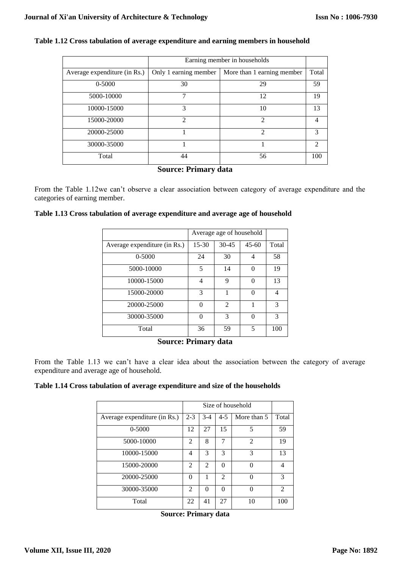|                              | Earning member in households |                             |               |  |
|------------------------------|------------------------------|-----------------------------|---------------|--|
| Average expenditure (in Rs.) | Only 1 earning member        | More than 1 earning member  | Total         |  |
| 0-5000                       | 30                           | 29                          | 59            |  |
| 5000-10000                   | 7                            | 12                          | 19            |  |
| 10000-15000                  | 3                            | 10                          | 13            |  |
| 15000-20000                  | $\mathfrak{D}$               | $\overline{2}$              | 4             |  |
| 20000-25000                  |                              | $\mathcal{D}_{\mathcal{A}}$ | $\mathcal{R}$ |  |
| 30000-35000                  |                              |                             | $\mathcal{D}$ |  |
| Total                        | 44                           | 56                          | 100           |  |

# **Table 1.12 Cross tabulation of average expenditure and earning members in household**

# **Source: Primary data**

From the Table 1.12we can't observe a clear association between category of average expenditure and the categories of earning member.

# **Table 1.13 Cross tabulation of average expenditure and average age of household**

|                              | Average age of household |                |           |       |
|------------------------------|--------------------------|----------------|-----------|-------|
| Average expenditure (in Rs.) | $15 - 30$                | $30 - 45$      | $45 - 60$ | Total |
| 0-5000                       | 24                       | 30             | 4         | 58    |
| 5000-10000                   | 5                        | 14             | 0         | 19    |
| 10000-15000                  | 4                        | 9              | 0         | 13    |
| 15000-20000                  | 3                        | 1              | 0         | 4     |
| 20000-25000                  | 0                        | $\overline{2}$ |           | 3     |
| 30000-35000                  | $\Omega$                 | 3              | 0         | 3     |
| Total                        | 36                       | 59             | 5         | 100   |

#### **Source: Primary data**

From the Table 1.13 we can't have a clear idea about the association between the category of average expenditure and average age of household.

**Table 1.14 Cross tabulation of average expenditure and size of the households**

|                              | Size of household           |                |                |                |                |
|------------------------------|-----------------------------|----------------|----------------|----------------|----------------|
| Average expenditure (in Rs.) | $2 - 3$                     | $3-4$          | $4 - 5$        | More than 5    | Total          |
| $0 - 5000$                   | 12                          | 27             | 15             | 5              | 59             |
| 5000-10000                   | $\overline{2}$              | 8              | 7              | $\mathfrak{D}$ | 19             |
| 10000-15000                  | 4                           | 3              | 3              | 3              | 13             |
| 15000-20000                  | $\mathcal{D}_{\mathcal{A}}$ | $\mathfrak{D}$ | $\Omega$       | 0              | 4              |
| 20000-25000                  | $\Omega$                    | 1              | $\mathfrak{D}$ | 0              | 3              |
| 30000-35000                  | $\mathfrak{D}$              | $\Omega$       | $\Omega$       | 0              | $\mathfrak{D}$ |
| Total                        | 22                          | 41             | 27             | 10             | 100            |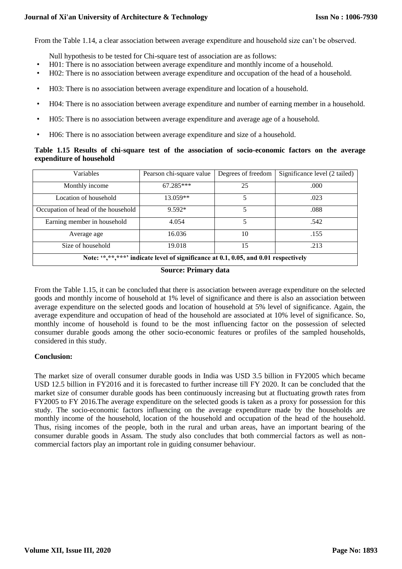From the Table 1.14, a clear association between average expenditure and household size can't be observed.

Null hypothesis to be tested for Chi-square test of association are as follows:

- H01: There is no association between average expenditure and monthly income of a household.
- H02: There is no association between average expenditure and occupation of the head of a household.
- H03: There is no association between average expenditure and location of a household.
- H04: There is no association between average expenditure and number of earning member in a household.
- H05: There is no association between average expenditure and average age of a household.
- H06: There is no association between average expenditure and size of a household.

# **Table 1.15 Results of chi-square test of the association of socio-economic factors on the average expenditure of household**

| <b>Variables</b>                                                                      | Pearson chi-square value | Degrees of freedom | Significance level (2 tailed) |  |
|---------------------------------------------------------------------------------------|--------------------------|--------------------|-------------------------------|--|
| Monthly income                                                                        | 67.285***                | 25                 | .000.                         |  |
| Location of household                                                                 | 13.059**                 |                    | .023                          |  |
| Occupation of head of the household                                                   | 9.592*                   | 5                  | .088                          |  |
| Earning member in household                                                           | 4.054                    |                    | .542                          |  |
| Average age                                                                           | 16.036                   | 10                 | .155                          |  |
| Size of household                                                                     | 19.018                   | 15                 | .213                          |  |
| Note: '*, **, ***' indicate level of significance at 0.1, 0.05, and 0.01 respectively |                          |                    |                               |  |

# **Source: Primary data**

From the Table 1.15, it can be concluded that there is association between average expenditure on the selected goods and monthly income of household at 1% level of significance and there is also an association between average expenditure on the selected goods and location of household at 5% level of significance. Again, the average expenditure and occupation of head of the household are associated at 10% level of significance. So, monthly income of household is found to be the most influencing factor on the possession of selected consumer durable goods among the other socio-economic features or profiles of the sampled households, considered in this study.

# **Conclusion:**

The market size of overall consumer durable goods in India was USD 3.5 billion in FY2005 which became USD 12.5 billion in FY2016 and it is forecasted to further increase till FY 2020. It can be concluded that the market size of consumer durable goods has been continuously increasing but at fluctuating growth rates from FY2005 to FY 2016.The average expenditure on the selected goods is taken as a proxy for possession for this study. The socio-economic factors influencing on the average expenditure made by the households are monthly income of the household, location of the household and occupation of the head of the household. Thus, rising incomes of the people, both in the rural and urban areas, have an important bearing of the consumer durable goods in Assam. The study also concludes that both commercial factors as well as noncommercial factors play an important role in guiding consumer behaviour.